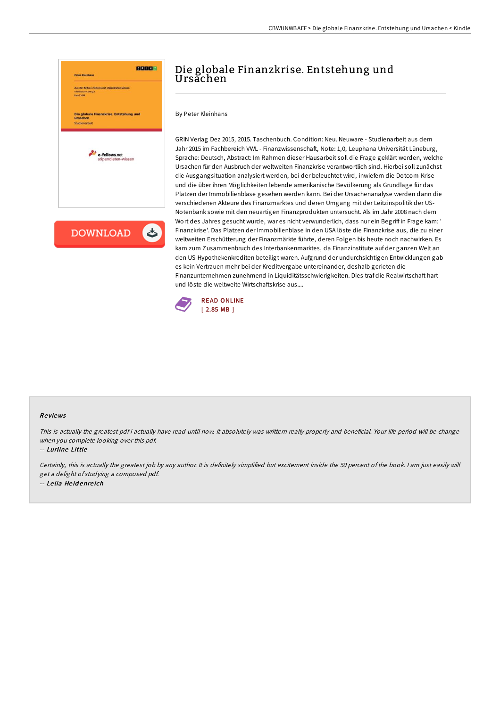



By Peter Kleinhans

GRIN Verlag Dez 2015, 2015. Taschenbuch. Condition: Neu. Neuware - Studienarbeit aus dem Jahr 2015 im Fachbereich VWL - Finanzwissenschaft, Note: 1,0, Leuphana Universität Lüneburg, Sprache: Deutsch, Abstract: Im Rahmen dieser Hausarbeit soll die Frage geklärt werden, welche Ursachen für den Ausbruch der weltweiten Finanzkrise verantwortlich sind. Hierbei soll zunächst die Ausgangsituation analysiert werden, bei der beleuchtet wird, inwiefern die Dotcom-Krise und die über ihren Möglichkeiten lebende amerikanische Bevölkerung als Grundlage für das Platzen der Immobilienblase gesehen werden kann. Bei der Ursachenanalyse werden dann die verschiedenen Akteure des Finanzmarktes und deren Umgang mit der Leitzinspolitik der US-Notenbank sowie mit den neuartigen Finanzprodukten untersucht. Als im Jahr 2008 nach dem Wort des Jahres gesucht wurde, war es nicht verwunderlich, dass nur ein Begriff in Frage kam: ' Finanzkrise'. Das Platzen der Immobilienblase in den USA löste die Finanzkrise aus, die zu einer weltweiten Erschütterung der Finanzmärkte führte, deren Folgen bis heute noch nachwirken. Es kam zum Zusammenbruch des Interbankenmarktes, da Finanzinstitute auf der ganzen Welt an den US-Hypothekenkrediten beteiligt waren. Aufgrund der undurchsichtigen Entwicklungen gab es kein Vertrauen mehr bei der Kreditvergabe untereinander, deshalb gerieten die Finanzunternehmen zunehmend in Liquiditätsschwierigkeiten. Dies traf die Realwirtschaft hart und löste die weltweite Wirtschaftskrise aus....



#### Re views

This is actually the greatest pdf i actually have read until now. it absolutely was writtern really properly and beneficial. Your life period will be change when you complete looking over this pdf.

-- Lurline Little

Certainly, this is actually the greatest job by any author. It is definitely simplified but excitement inside the 50 percent of the book. <sup>I</sup> am just easily will get <sup>a</sup> delight of studying <sup>a</sup> composed pdf. -- Le lia He id enre ich